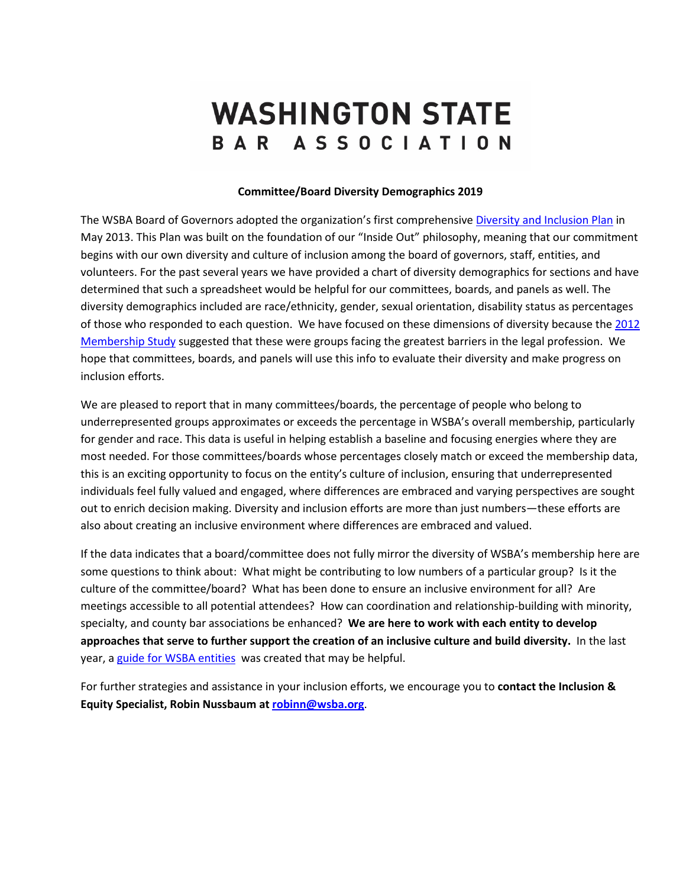## **WASHINGTON STATE** BAR ASSOCIATION

## **Committee/Board Diversity Demographics 2019**

The WSBA Board of Governors adopted the organization's first comprehensive [Diversity and Inclusion Plan](https://www.wsba.org/docs/default-source/about-wsba/diversity/7-wsba-diversity-and-inclusion-plan-(with-cover-page).pdf?sfvrsn=85be38f1_1) in May 2013. This Plan was built on the foundation of our "Inside Out" philosophy, meaning that our commitment begins with our own diversity and culture of inclusion among the board of governors, staff, entities, and volunteers. For the past several years we have provided a chart of diversity demographics for sections and have determined that such a spreadsheet would be helpful for our committees, boards, and panels as well. The diversity demographics included are race/ethnicity, gender, sexual orientation, disability status as percentages of those who responded to each question. We have focused on these dimensions of diversity because the [2012](https://www.wsba.org/docs/default-source/about-wsba/diversity/wsba-membership-study-report-2012.pdf?sfvrsn=f15638f1_0) [Membership Study](https://www.wsba.org/docs/default-source/about-wsba/diversity/wsba-membership-study-report-2012.pdf?sfvrsn=f15638f1_0) suggested that these were groups facing the greatest barriers in the legal profession. We hope that committees, boards, and panels will use this info to evaluate their diversity and make progress on inclusion efforts.

We are pleased to report that in many committees/boards, the percentage of people who belong to underrepresented groups approximates or exceeds the percentage in WSBA's overall membership, particularly for gender and race. This data is useful in helping establish a baseline and focusing energies where they are most needed. For those committees/boards whose percentages closely match or exceed the membership data, this is an exciting opportunity to focus on the entity's culture of inclusion, ensuring that underrepresented individuals feel fully valued and engaged, where differences are embraced and varying perspectives are sought out to enrich decision making. Diversity and inclusion efforts are more than just numbers—these efforts are also about creating an inclusive environment where differences are embraced and valued.

If the data indicates that a board/committee does not fully mirror the diversity of WSBA's membership here are some questions to think about: What might be contributing to low numbers of a particular group? Is it the culture of the committee/board? What has been done to ensure an inclusive environment for all? Are meetings accessible to all potential attendees? How can coordination and relationship-building with minority, specialty, and county bar associations be enhanced? **We are here to work with each entity to develop approaches that serve to further support the creation of an inclusive culture and build diversity.** In the last year, [a guide for WSBA entities](https://www.wsba.org/docs/default-source/legal-community/volunteer/volunteer-toolbox/achieving-inclusion.pdf?sfvrsn=7d5506f1_4) was created that may be helpful.

For further strategies and assistance in your inclusion efforts, we encourage you to **contact the Inclusion & Equity Specialist, Robin Nussbaum at [robinn@wsba.org](mailto:robinn@wsba.org)**.